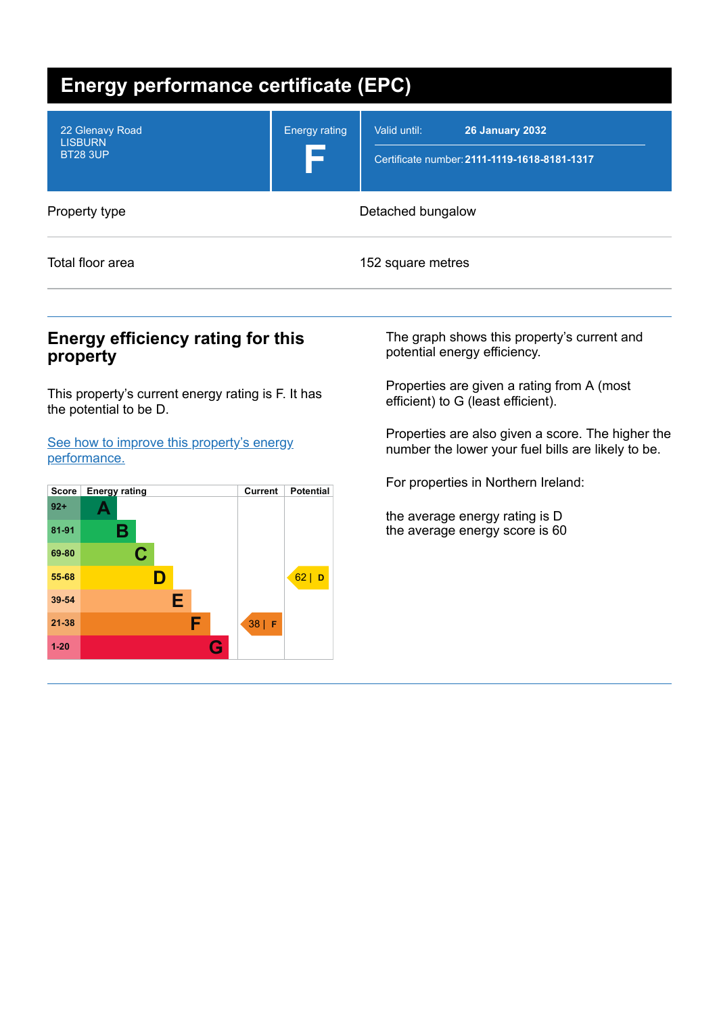| <b>Energy performance certificate (EPC)</b>          |                      |                                                                                        |  |  |
|------------------------------------------------------|----------------------|----------------------------------------------------------------------------------------|--|--|
| 22 Glenavy Road<br><b>LISBURN</b><br><b>BT28 3UP</b> | <b>Energy rating</b> | Valid until:<br><b>26 January 2032</b><br>Certificate number: 2111-1119-1618-8181-1317 |  |  |
| Property type                                        | Detached bungalow    |                                                                                        |  |  |
| Total floor area                                     |                      | 152 square metres                                                                      |  |  |

# **Energy efficiency rating for this property**

This property's current energy rating is F. It has the potential to be D.

See how to improve this property's energy [performance.](#page-2-0)



The graph shows this property's current and potential energy efficiency.

Properties are given a rating from A (most efficient) to G (least efficient).

Properties are also given a score. The higher the number the lower your fuel bills are likely to be.

For properties in Northern Ireland:

the average energy rating is D the average energy score is 60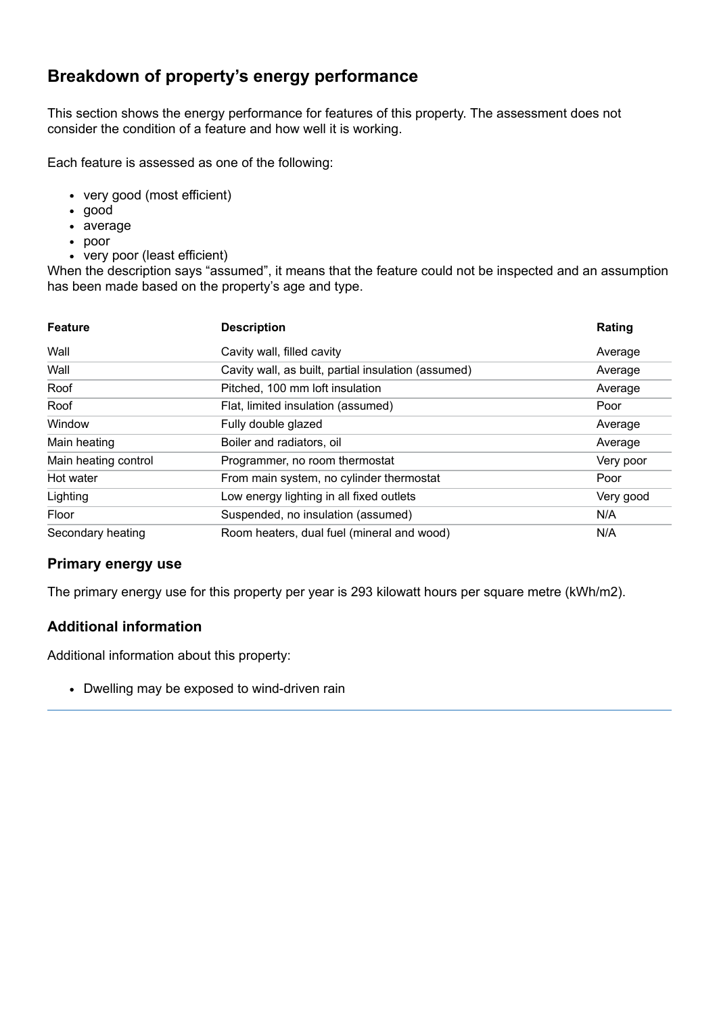# **Breakdown of property's energy performance**

This section shows the energy performance for features of this property. The assessment does not consider the condition of a feature and how well it is working.

Each feature is assessed as one of the following:

- very good (most efficient)
- good
- average
- poor
- very poor (least efficient)

When the description says "assumed", it means that the feature could not be inspected and an assumption has been made based on the property's age and type.

| <b>Feature</b>       | <b>Description</b>                                  | Rating    |
|----------------------|-----------------------------------------------------|-----------|
| Wall                 | Cavity wall, filled cavity                          | Average   |
| Wall                 | Cavity wall, as built, partial insulation (assumed) | Average   |
| Roof                 | Pitched, 100 mm loft insulation                     | Average   |
| Roof                 | Flat, limited insulation (assumed)                  | Poor      |
| Window               | Fully double glazed                                 | Average   |
| Main heating         | Boiler and radiators, oil                           | Average   |
| Main heating control | Programmer, no room thermostat                      | Very poor |
| Hot water            | From main system, no cylinder thermostat            | Poor      |
| Lighting             | Low energy lighting in all fixed outlets            | Very good |
| Floor                | Suspended, no insulation (assumed)                  | N/A       |
| Secondary heating    | Room heaters, dual fuel (mineral and wood)          | N/A       |

### **Primary energy use**

The primary energy use for this property per year is 293 kilowatt hours per square metre (kWh/m2).

### **Additional information**

Additional information about this property:

• Dwelling may be exposed to wind-driven rain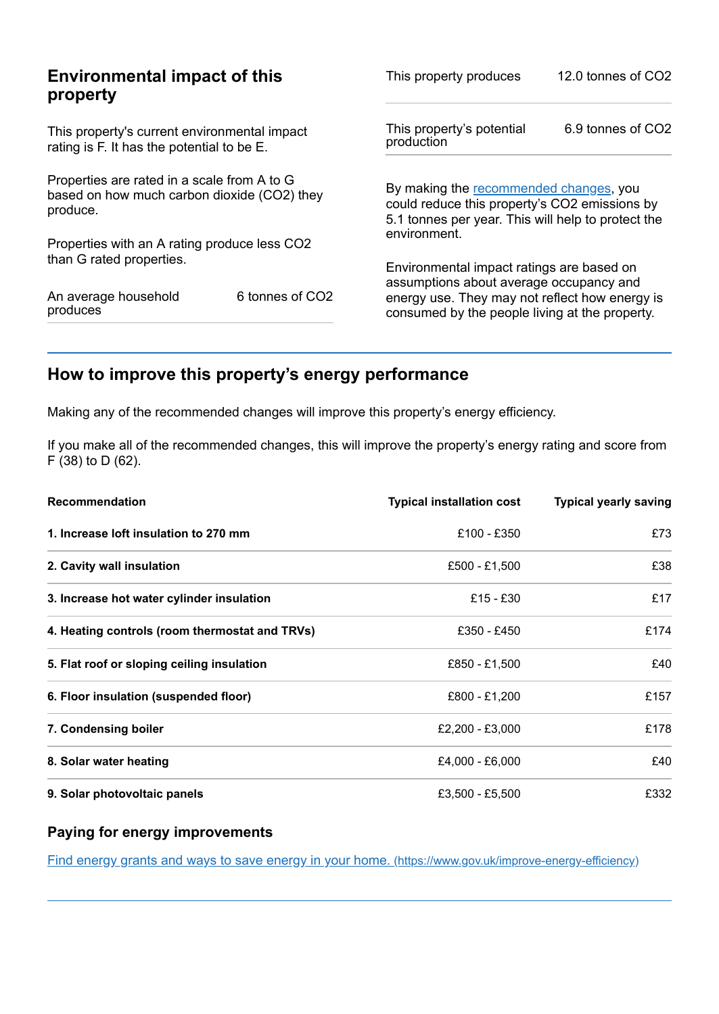| <b>Environmental impact of this</b><br>property                                                        |                 | This property produces                                                                                                                        | 12.0 tonnes of CO2 |
|--------------------------------------------------------------------------------------------------------|-----------------|-----------------------------------------------------------------------------------------------------------------------------------------------|--------------------|
| This property's current environmental impact<br>rating is F. It has the potential to be E.             |                 | This property's potential<br>production                                                                                                       | 6.9 tonnes of CO2  |
| Properties are rated in a scale from A to G<br>based on how much carbon dioxide (CO2) they<br>produce. |                 | By making the recommended changes, you<br>could reduce this property's CO2 emissions by<br>5.1 tonnes per year. This will help to protect the |                    |
| Properties with an A rating produce less CO2                                                           |                 | environment.                                                                                                                                  |                    |
| than G rated properties.                                                                               |                 | Environmental impact ratings are based on<br>assumptions about average occupancy and                                                          |                    |
| An average household<br>produces                                                                       | 6 tonnes of CO2 | energy use. They may not reflect how energy is<br>consumed by the people living at the property.                                              |                    |

# <span id="page-2-0"></span>**How to improve this property's energy performance**

Making any of the recommended changes will improve this property's energy efficiency.

If you make all of the recommended changes, this will improve the property's energy rating and score from F (38) to D (62).

| Recommendation                                 | <b>Typical installation cost</b> | <b>Typical yearly saving</b> |
|------------------------------------------------|----------------------------------|------------------------------|
| 1. Increase loft insulation to 270 mm          | £100 - £350                      | £73                          |
| 2. Cavity wall insulation                      | £500 - £1,500                    | £38                          |
| 3. Increase hot water cylinder insulation      | $£15 - £30$                      | £17                          |
| 4. Heating controls (room thermostat and TRVs) | £350 - £450                      | £174                         |
| 5. Flat roof or sloping ceiling insulation     | £850 - £1,500                    | £40                          |
| 6. Floor insulation (suspended floor)          | £800 - £1,200                    | £157                         |
| 7. Condensing boiler                           | £2,200 - £3,000                  | £178                         |
| 8. Solar water heating                         | £4,000 - £6,000                  | £40                          |
| 9. Solar photovoltaic panels                   | £3,500 - £5,500                  | £332                         |

### **Paying for energy improvements**

Find energy grants and ways to save energy in your home. [\(https://www.gov.uk/improve-energy-efficiency\)](https://www.gov.uk/improve-energy-efficiency)